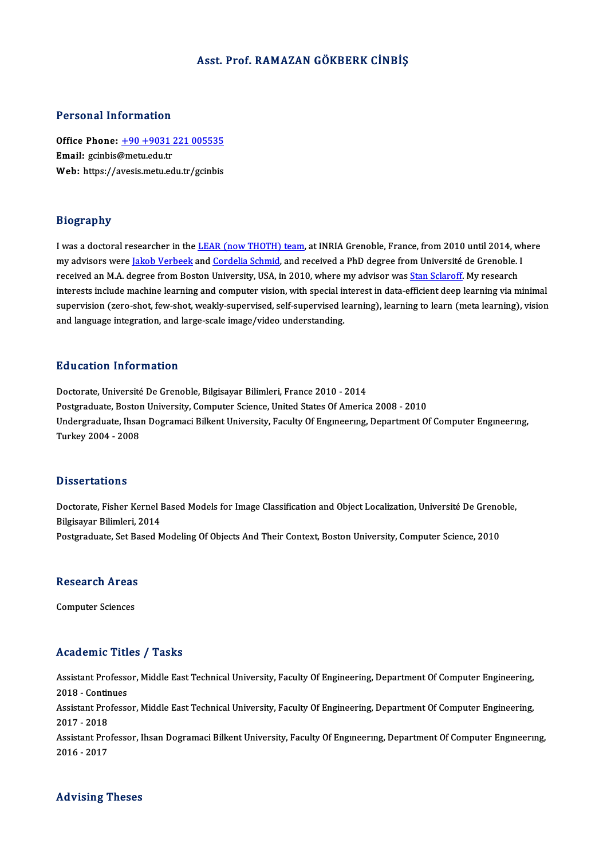### Asst. Prof. RAMAZAN GÖKBERK CİNBİŞ

### Personal Information

Personal Information<br>Office Phone: <u>+90 +9031 221 005535</u><br>Email: *seinbie@matu edu* tr office Phone:  $\pm 90 + 9031$ <br>Email: gcinbis@metu.edu.tr Office Phone: <u>+90 +9031 221 005535</u><br>Email: gcinbis@metu.edu.tr<br>Web: https://a[vesis.metu.edu.tr/gcinbis](tel:+90 +9031 221 005535) Web: https://avesis.metu.edu.tr/gcinbis<br>Biography

I was a doctoral researcher in the LEAR (now THOTH) team, at INRIA Grenoble, France, from 2010 until 2014, where my advisors were Jakob Verbeek and <u>CEAR (now THOTH) team</u>, at INRIA Grenoble, France, from 2010 until 2014, wh<br>my advisors were <u>Jakob Verbeek</u> and <u>Cordelia Schmid</u>, and received a PhD degree from Université de Grenoble. I was a doctoral researcher in the <u>LEAR (now THOTH) team</u>, at INRIA Grenoble, France, from 2010 until 2014, w<br>my advisors were <u>Jakob Verbeek</u> and <u>Cordelia Schmid</u>, and received a PhD degree from Université de Grenoble. my advisors were <u>Jakob Verbeek</u> and <u>Cordelia Schmid</u>, and received a PhD degree from Université de Grenoble. I<br>received an M.A. degree from Boston University, USA, in 2010, where my advisor was <u>Stan Sclaroff</u>. My resear received an M.A. degree from Boston University, USA, in 2010, where my advisor was <u>Stan Sclaroff</u>. My research<br>interests include machine learning and computer vision, with special interest in data-efficient deep learning and language integration, and large-scale image/video understanding.

### Education Information

Doctorate, Université De Grenoble, Bilgisayar Bilimleri, France 2010 - 2014 Postgraduate, Boston University, Computer Science, United States Of America 2008 - 2010 Doctorate, Université De Grenoble, Bilgisayar Bilimleri, France 2010 - 2014<br>Postgraduate, Boston University, Computer Science, United States Of America 2008 - 2010<br>Undergraduate, Ihsan Dogramaci Bilkent University, Faculty Postgraduate, Bostor<br>Undergraduate, Ihsa<br>Turkey 2004 - 2008 Turkey 2004 - 2008<br>Dissertations

Dissertations<br>Doctorate, Fisher Kernel Based Models for Image Classification and Object Localization, Université De Grenoble,<br>Bilgicaver Bilimleri, 2014 Bilgisayar Bilimleri, 2014<br>Bilgisayar Bilimleri, 2014<br>Bestandunte, Set Besed M Doctorate, Fisher Kernel Based Models for Image Classification and Object Localization, Université De Greno<br>Bilgisayar Bilimleri, 2014<br>Postgraduate, Set Based Modeling Of Objects And Their Context, Boston University, Compu Postgraduate, Set Based Modeling Of Objects And Their Context, Boston University, Computer Science, 2010<br>Research Areas

Computer Sciences

### Academic Titles / Tasks

Academic Titles / Tasks<br>Assistant Professor, Middle East Technical University, Faculty Of Engineering, Department Of Computer Engineering,<br>2018 - Continues Assistant Professo<br>2018 - Continues<br>Assistant Professo Assistant Professor, Middle East Technical University, Faculty Of Engineering, Department Of Computer Engineering,<br>2018 - Continues<br>Assistant Professor, Middle East Technical University, Faculty Of Engineering, Department 2018 - Contin<br>Assistant Pro<br>2017 - 2018<br>Assistant Pro Assistant Professor, Middle East Technical University, Faculty Of Engineering, Department Of Computer Engineering,<br>2017 - 2018<br>Assistant Professor, Ihsan Dogramaci Bilkent University, Faculty Of Engineering, Department Of 2017 - 2018<br>Assistant Professor, Ihsan Dogramaci Bilkent University, Faculty Of Engıneerıng, Department Of Computer Engıneerıng,<br>2016 - 2017

### Advising Theses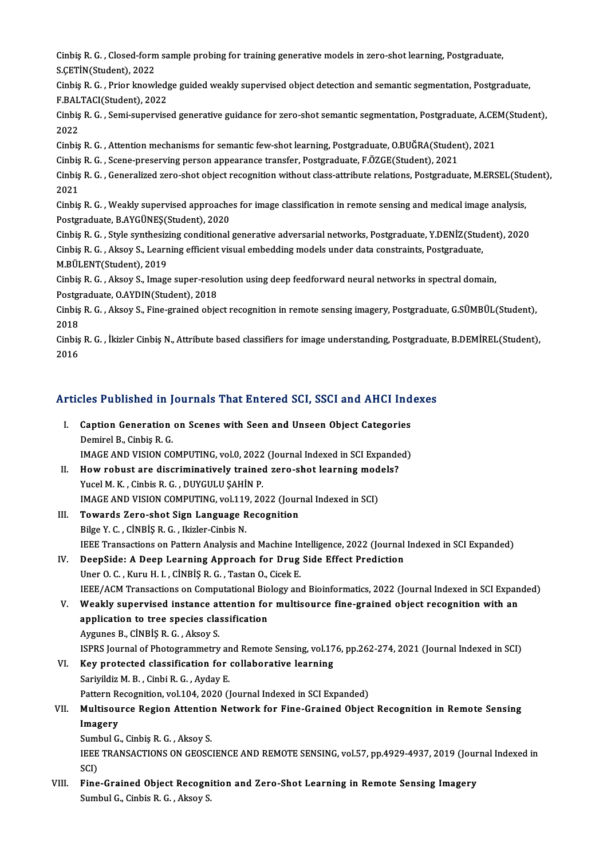Cinbiş R. G. , Closed-form sample probing for training generative models in zero-shot learning, Postgraduate,<br>S.CETİN(Student), 2022 Cinbiş R. G. , Closed-form<br>S.ÇETİN(Student), 2022<br>Cinbiş P. G. , Prior knovd Cinbiş R. G. , Closed-form sample probing for training generative models in zero-shot learning, Postgraduate,<br>S.ÇETİN(Student), 2022<br>Cinbiş R. G. , Prior knowledge guided weakly supervised object detection and semantic seg

S.ÇETİN(Student), 2022<br>Cinbiş R. G. , Prior knowledg<br>F.BALTACI(Student), 2022<br>Cinbis B. G. , Sami sunawiss Cinbiş R. G. , Prior knowledge guided weakly supervised object detection and semantic segmentation, Postgraduate,<br>F.BALTACI(Student), 2022<br>Cinbiş R. G. , Semi-supervised generative guidance for zero-shot semantic segmentat

F.BAL<br>Cinbiş<br>2022<br>Cinbis Cinbiş R. G. , Semi-supervised generative guidance for zero-shot semantic segmentation, Postgraduate, A.CE.<br>2022<br>Cinbiş R. G. , Attention mechanisms for semantic few-shot learning, Postgraduate, O.BUĞRA(Student), 2021<br>Cinb

2022<br>Cinbiş R. G. , Attention mechanisms for semantic few-shot learning, Postgraduate, O.BUĞRA(Student), 2021

Cinbis R. G., Scene-preserving person appearance transfer, Postgraduate, F.ÖZGE(Student), 2021

Cinbiş R. G. , Generalized zero-shot object recognition without class-attribute relations, Postgraduate, M.ERSEL(Student),<br>2021 Cinbiş R. G. , Generalized zero-shot object recognition without class-attribute relations, Postgraduate, M.ERSEL(Stu<br>2021<br>Cinbiş R. G. , Weakly supervised approaches for image classification in remote sensing and medical i

2021<br>Cinbiş R. G. , Weakly supervised approache<br>Postgraduate, B.AYGÜNEŞ(Student), 2020<br>Cinbis B. G. , Stule synthesizing senditional Postgraduate, B.AYGÜNEŞ(Student), 2020<br>Cinbiş R. G. , Style synthesizing conditional generative adversarial networks, Postgraduate, Y.DENİZ(Student), 2020

Postgraduate, B.AYGÜNEŞ(Student), 2020<br>Cinbiş R. G. , Style synthesizing conditional generative adversarial networks, Postgraduate, Y.DENİZ(Stud<br>Cinbiş R. G. , Aksoy S., Learning efficient visual embedding models under dat Cinbiş R. G. , Style synthesiz<br>Cinbiş R. G. , Aksoy S., Learn<br>M.BÜLENT(Student), 2019<br>Cinbis B. C. , Aksoy S. Imago Cinbiş R. G. , Aksoy S., Learning efficient visual embedding models under data constraints, Postgraduate,<br>M.BÜLENT(Student), 2019<br>Cinbiş R. G. , Aksoy S., Image super-resolution using deep feedforward neural networks in sp

M.BÜLENT(Student), 2019<br>Cinbiş R. G. , Aksoy S., Image super-resolution using deep feedforward neural networks in spectral domain, Postgraduate, O.AYDIN(Student), 2018

Cinbiş R. G. , Aksoy S., Fine-grained object recognition in remote sensing imagery, Postgraduate, G.SÜMBÜL(Student),<br>2018 Cinbiş R. G. , Aksoy S., Fine-grained object recognition in remote sensing imagery, Postgraduate, G.SÜMBÜL(Student),<br>2018<br>Cinbiş R. G. , İkizler Cinbiş N., Attribute based classifiers for image understanding, Postgraduate,

2018<br>Cinbiş<br>2016

# Articles Published in Journals That Entered SCI, SSCI and AHCI Indexes

- rticles Published in Journals That Entered SCI, SSCI and AHCI Ind<br>I. Caption Generation on Scenes with Seen and Unseen Object Categories<br>Dominal B. Cinbia B. C SECT ADENCICA II.<br>Caption Generation<br>Demirel B., Cinbiş R. G.<br>IMACE AND VISION CO Caption Generation on Scenes with Seen and Unseen Object Categories<br>Demirel B., Cinbiş R. G.<br>IMAGE AND VISION COMPUTING, vol.0, 2022 (Journal Indexed in SCI Expanded)<br>How rebust are discriminatively trained gave shot learn Demirel B., Cinbiş R. G.<br>IMAGE AND VISION COMPUTING, vol.0, 2022 (Journal Indexed in SCI Expanded)<br>II. How robust are discriminatively trained zero-shot learning models?
- Yucel M.K., Cinbis R.G., DUYGULU ŞAHİN P. How robust are discriminatively trained zero-shot learning mod<br>Yucel M. K. , Cinbis R. G. , DUYGULU ŞAHİN P.<br>IMAGE AND VISION COMPUTING, vol.119, 2022 (Journal Indexed in SCI)<br>Towarde Zero shot Sign Language Besegnition
- Yucel M. K., Cinbis R. G., DUYGULU ŞAHİN P.<br>IMAGE AND VISION COMPUTING, vol.119, 2022 (Jour)<br>III. Towards Zero-shot Sign Language Recognition<br>Pilge V. G. Cinpis P. G. Higler Cinbis N. IMAGE AND VISION COMPUTING, vol.119<br>Towards Zero-shot Sign Language R<br>Bilge Y. C. , CINBIŞ R. G. , Ikizler-Cinbis N.<br>IEEE Transastians on Battarn Analysis an Towards Zero-shot Sign Language Recognition<br>Bilge Y. C. , CINBIŞ R. G. , Ikizler-Cinbis N.<br>IEEE Transactions on Pattern Analysis and Machine Intelligence, 2022 (Journal Indexed in SCI Expanded) Bilge Y. C., CINBIŞ R. G., Ikizler-Cinbis N.<br>IEEE Transactions on Pattern Analysis and Machine Intelligence, 2022 (Journal<br>IV. DeepSide: A Deep Learning Approach for Drug Side Effect Prediction
- IEEE Transactions on Pattern Analysis and Machine In<br>DeepSide: A Deep Learning Approach for Drug<br>Uner O. C. , Kuru H. I. , CİNBİŞ R. G. , Tastan O., Cicek E.<br>IEEE (ACM Transactions on Computational Biology and Uner O. C. , Kuru H. I. , CİNBİŞ R. G. , Tastan O., Cicek E.<br>IEEE/ACM Transactions on Computational Biology and Bioinformatics, 2022 (Journal Indexed in SCI Expanded)
- V. Weakly supervised instance attention for multisource fine-grained object recognition with an application to tree species classification Aygunes B., CİNBİŞ R. G., Aksoy S. application to tree species classification<br>Aygunes B., CİNBİŞ R. G. , Aksoy S.<br>ISPRS Journal of Photogrammetry and Remote Sensing, vol.176, pp.262-274, 2021 (Journal Indexed in SCI)<br>Kay pretested skessifisation for sellebe
- VI. Key protected classification for collaborative learning<br>Sariyildiz M. B., Cinbi R. G., Ayday E. SPRS Journal of Photogrammetry an<br>Key protected classification for<br>Sariyildiz M. B., Cinbi R. G., Ayday E.<br>Pettern Pessentijon vol 104, 2020 (1 Pattern Recognition, vol.104, 2020 (Journal Indexed in SCI Expanded)

# Sariyildiz M. B. , Cinbi R. G. , Ayday E.<br>Pattern Recognition, vol.104, 2020 (Journal Indexed in SCI Expanded)<br>VII. Multisource Region Attention Network for Fine-Grained Object Recognition in Remote Sensing<br>Imageny Pattern Re<br>Multisou<br>Imagery<br>Sumbul C Multisource Region Attention<br>Imagery<br>Sumbul G., Cinbiş R. G. , Aksoy S.<br>JEEE TRANSACTIONS ON CEOSC

I**magery**<br>Sumbul G., Cinbiş R. G. , Aksoy S.<br>IEEE TRANSACTIONS ON GEOSCIENCE AND REMOTE SENSING, vol.57, pp.4929-4937, 2019 (Journal Indexed in<br>SCD Suml<br>IEEE<br>SCI)<br>Eine IEEE TRANSACTIONS ON GEOSCIENCE AND REMOTE SENSING, vol.57, pp.4929-4937, 2019 (Jour<br>SCI)<br>VIII. Fine-Grained Object Recognition and Zero-Shot Learning in Remote Sensing Imagery<br>Sumbul G. Sinbia B. G. Alrew S.

SCI)<br>VIII. Fine-Grained Object Recognition and Zero-Shot Learning in Remote Sensing Imagery<br>Sumbul G., Cinbis R. G. , Aksoy S.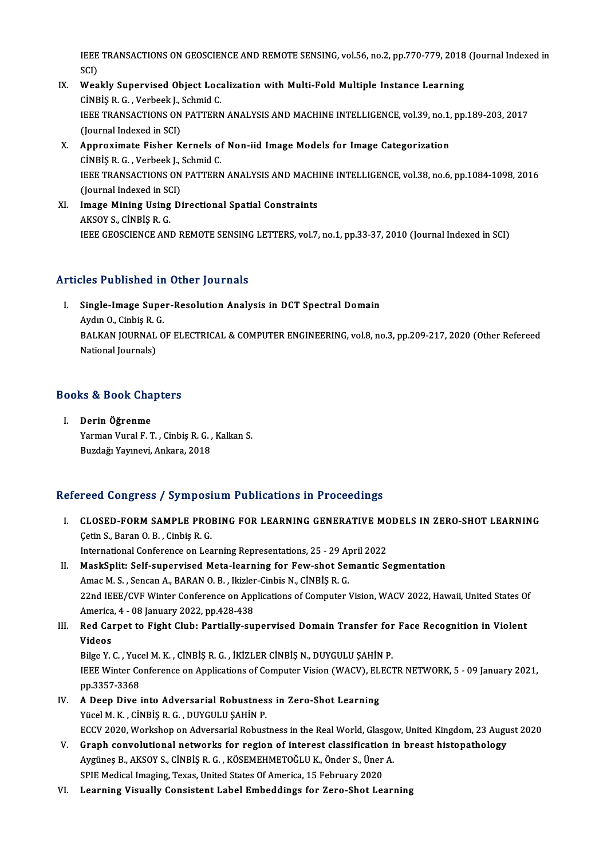IEEE TRANSACTIONS ON GEOSCIENCE AND REMOTE SENSING, vol.56, no.2, pp.770-779, 2018 (Journal Indexed in<br>SCD IEEE<br>SCI)<br>Wee IEEE TRANSACTIONS ON GEOSCIENCE AND REMOTE SENSING, vol.56, no.2, pp.770-779, 2018<br>SCI)<br>IX. Weakly Supervised Object Localization with Multi-Fold Multiple Instance Learning<br>CINPIS B.C. Verbeek L. Schmid.C.

- SCI)<br>Weakly Supervised Object Loc<del>.</del><br>CİNBİŞ R. G. , Verbeek J., Schmid C.<br>JEEE TRANSACTIONS ON RATTERN IEEE TRANSACTIONS ON PATTERN ANALYSIS AND MACHINE INTELLIGENCE, vol.39, no.1, pp.189-203, 2017<br>(Journal Indexed in SCI) CINBIS R. G., Verbeek J., Schmid C. IEEE TRANSACTIONS ON PATTERN ANALYSIS AND MACHINE INTELLIGENCE, vol.39, no.1,<br>(Journal Indexed in SCI)<br>X. Approximate Fisher Kernels of Non-iid Image Models for Image Categorization<br>cinpis P. G. Verbeek L. Sebmid C.
- (Journal Indexed in SCI)<br>Approximate Fisher Kernels of<br>CİNBİŞ R. G. , Verbeek J., Schmid C.<br>IEEE TPANSACTIONS ON PATTEPN Approximate Fisher Kernels of Non-iid Image Models for Image Categorization<br>CİNBİŞ R. G. , Verbeek J., Schmid C.<br>IEEE TRANSACTIONS ON PATTERN ANALYSIS AND MACHINE INTELLIGENCE, vol.38, no.6, pp.1084-1098, 2016<br>(Jaurnal Ind CINBIŞ R. G. , Verbeek J., :<br>IEEE TRANSACTIONS ON<br>(Journal Indexed in SCI)<br>Image Mining Heing Di IEEE TRANSACTIONS ON PATTERN ANALYSIS AND MACH.<br>(Journal Indexed in SCI)<br>XI. Image Mining Using Directional Spatial Constraints<br>AKSOV S. CINPIS B. C.
- (Journal Indexed in SC)<br>Image Mining Using<br>AKSOY S., CİNBİŞ R. G.<br>IEEE CEOSCIENCE ANI AKSOY S., CINBIȘ R. G.<br>IEEE GEOSCIENCE AND REMOTE SENSING LETTERS, vol.7, no.1, pp.33-37, 2010 (Journal Indexed in SCI)

## Articles Published in Other Journals

rticles Published in Other Journals<br>I. Single-Image Super-Resolution Analysis in DCT Spectral Domain<br>Avdyn O. Sinbia B. C Single-Image Supe<br>Aydın O., Cinbiş R. G.<br>BALKAN JOUPNAL O Single-Image Super-Resolution Analysis in DCT Spectral Domain<br>Aydın O., Cinbiş R. G.<br>BALKAN JOURNAL OF ELECTRICAL & COMPUTER ENGINEERING, vol.8, no.3, pp.209-217, 2020 (Other Refereed<br>National Journals) Aydın O., Cinbiş R. (<br>BALKAN JOURNAL<br>National Journals)

# nauonai journais)<br>Books & Book Chapters

ooks & Book Cha<br>I. Derin Öğrenme<br><sup>Vormon Vurol E</sub> 1</sup> I. Derin Öğrenme<br>Yarman Vural F. T. , Cinbiş R. G. , Kalkan S. BuzdağıYayınevi,Ankara,2018

# Refereed Congress / Symposium Publications in Proceedings

- I. CLOSED-FORM SAMPLE PROBING FOR LEARNING GENERATIVE MODELS IN ZERO-SHOT LEARNING ÇetinS.,BaranO.B. ,CinbişR.G. International Conference on Learning Representations, 25 - 29 April 2022 Cetin S., Baran O. B. , Cinbiş R. G.<br>International Conference on Learning Representations, 25 - 29 April 2022<br>II. MaskSplit: Self-supervised Meta-learning for Few-shot Semantic Segmentation<br>Amas M. S. Songan A. BABAN O. B.
- International Conference on Learning Representations, 25 29 Ap<br>MaskSplit: Self-supervised Meta-learning for Few-shot Sei<br>Amac M. S., Sencan A., BARAN O. B., Ikizler-Cinbis N., CİNBİŞ R. G.<br>22nd IEEE (CVE Winter Conferenc MaskSplit: Self-supervised Meta-learning for Few-shot Semantic Segmentation<br>Amac M. S. , Sencan A., BARAN O. B. , Ikizler-Cinbis N., CİNBİŞ R. G.<br>22nd IEEE/CVF Winter Conference on Applications of Computer Vision, WACV 202 Amac M. S. , Sencan A., BARAN O. B. , Ikizler<br>22nd IEEE/CVF Winter Conference on App<br>America, 4 - 08 January 2022, pp.428-438<br>Bod Carnot to Fight Club, Bortially cu 22nd IEEE/CVF Winter Conference on Applications of Computer Vision, WACV 2022, Hawaii, United States Of America, 4 - 08 January 2022, pp.428-438<br>III. Red Carpet to Fight Club: Partially-supervised Domain Transfer for Face
- America<br><mark>Red Ca</mark>i<br>Videos<br><sup>Pilgo V</sup> Red Carpet to Fight Club: Partially-supervised Domain Transfer for<br>Videos<br>Bilge Y. C. , Yucel M. K. , CİNBİŞ R. G. , İKİZLER CİNBİŞ N., DUYGULU ŞAHİN P.<br>IEEE Winter Conference on Applications of Computer Vision (WACV), ELE

Videos<br>Bilge Y. C. , Yucel M. K. , CİNBİŞ R. G. , İKİZLER CİNBİŞ N., DUYGULU ŞAHİN P.<br>IEEE Winter Conference on Applications of Computer Vision (WACV), ELECTR NETWORK, 5 - 09 January 2021,<br>nn 2257 2269 Bilge Y. C. , Yuc<br>IEEE Winter Co<br>pp.3357-3368 IEEE Winter Conference on Applications of Computer Vision (WACV), EL<br>pp.3357-3368<br>IV. A Deep Dive into Adversarial Robustness in Zero-Shot Learning<br>Visel M K, Cinpis B C, DUVCULU SAHIN B

- pp.3357-3368<br>A Deep Dive into Adversarial Robustnes<br>Yücel M.K. , CİNBİŞ R. G. , DUYGULU ŞAHİN P.<br>FCCV 2020 Workeban an Advarsarial Babust A Deep Dive into Adversarial Robustness in Zero-Shot Learning<br>Yücel M. K. , CİNBİŞ R. G. , DUYGULU ŞAHİN P.<br>ECCV 2020, Workshop on Adversarial Robustness in the Real World, Glasgow, United Kingdom, 23 August 2020<br>Cranh con Yücel M. K. , CİNBİŞ R. G. , DUYGULU ŞAHİN P.<br>ECCV 2020, Workshop on Adversarial Robustness in the Real World, Glasgow, United Kingdom, 23 Augu<br>V. Graph convolutional networks for region of interest classification in breas
- ECCV 2020, Workshop on Adversarial Robustness in the Real World, Glasgov<br>Graph convolutional networks for region of interest classification is<br>Aygüneş B., AKSOY S., CİNBİŞ R. G. , KÖSEMEHMETOĞLU K., Önder S., Üner A. V. Graph convolutional networks for region of interest classification in breast histopathology<br>Aygüneş B., AKSOY S., CİNBİŞ R. G. , KÖSEMEHMETOĞLU K., Önder S., Üner A.<br>SPIE Medical Imaging, Texas, United States Of America
- VI. Learning Visually Consistent Label Embeddings for Zero-Shot Learning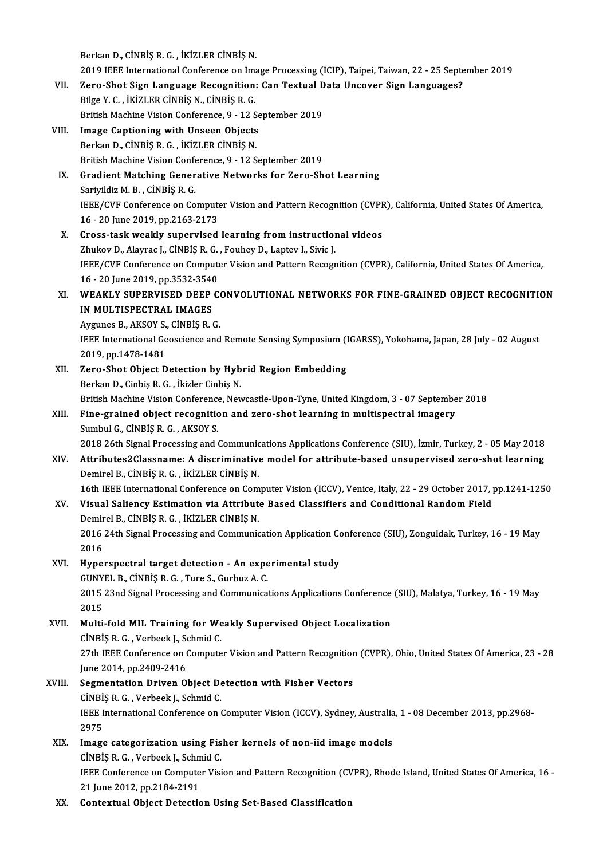Berkan D., CİNBİŞR. G., İKİZLER CİNBİŞN.

Berkan D., CİNBİŞ R. G. , İKİZLER CİNBİŞ N.<br>2019 IEEE International Conference on Image Processing (ICIP), Taipei, Taiwan, 22 - 25 September 2019<br>Zana Shat Sian Language Besagnition: Can Taytual Data Ungeven Sian Languages

- Berkan D., CİNBİŞ R. G. , İKİZLER CİNBİŞ N.<br>2019 IEEE International Conference on Image Processing (ICIP), Taipei, Taiwan, 22 25 Septe<br>VII. Zero-Shot Sign Language Recognition: Can Textual Data Uncover Sign Languages 2019 IEEE International Conference on Imanual Sero-Shot Sign Language Recognition<br>Bilge Y. C. , İKİZLER CİNBİŞ N., CİNBİŞ R. G.<br>British Mashine Vision Conference 0, 12.5 VII. Zero-Shot Sign Language Recognition: Can Textual Data Uncover Sign Languages?<br>Bilge Y. C., İKİZLER CİNBİŞ N., CİNBİŞ R. G.<br>British Machine Vision Conference, 9 - 12 September 2019
- VIII. Image Captioning with Unseen Objects Berkan D., CİNBİŞ R. G., İKİZLER CİNBİŞ N. British Machine Vision Conference, 9 - 12 September 2019 Berkan D., CINBIŞ R. G., İKİZLER CINBIŞ N.<br>British Machine Vision Conference, 9 - 12 September 2019<br>IX. Gradient Matching Generative Networks for Zero-Shot Learning<br>September 8 - Cinnis P. G.
	- British Machine Vision Confer<br>Gradient Matching Gener<br>Sariyildiz M. B. , CİNBİŞ R. G.<br>IEEE (CVE Conference on Co Gradient Matching Generative Networks for Zero-Shot Learning<br>Sariyildiz M. B. , CINBIŞ R. G.<br>IEEE/CVF Conference on Computer Vision and Pattern Recognition (CVPR), California, United States Of America,<br>16, 20 June 2019, pp Sariyildiz M. B. , CİNBİŞ R. G.<br>IEEE/CVF Conference on Compute<br>16 - 20 June 2019, pp.2163-2173<br>Cross task weakly sunaryised IEEE/CVF Conference on Computer Vision and Pattern Recognition (CVPF<br>16 - 20 June 2019, pp.2163-2173<br>X. Cross-task weakly supervised learning from instructional videos<br>7bultou D. Aleureal, Cineis P.C. Foubou D. Lanteu L. S
	- 16 20 June 2019, pp.2163-2173<br>Cross-task weakly supervised learning from instruction<br>Zhukov D., Alayrac J., CINBİŞ R.G. , Fouhey D., Laptev I., Sivic J.<br>JEEE (CVE Conference on Computer Vision and Pettern Besogn Cross-task weakly supervised learning from instructional videos<br>Zhukov D., Alayrac J., CiNBiŞ R. G. , Fouhey D., Laptev I., Sivic J.<br>IEEE/CVF Conference on Computer Vision and Pattern Recognition (CVPR), California, United Zhukov D., Alayrac J., CİNBİŞ R. G.<br>IEEE/CVF Conference on Compute<br>16 - 20 June 2019, pp.3532-3540<br>WEAKLY SUPERVISED DEER C IEEE/CVF Conference on Computer Vision and Pattern Recognition (CVPR), California, United States Of America,<br>16 - 20 June 2019, pp.3532-3540<br>XI. WEAKLY SUPERVISED DEEP CONVOLUTIONAL NETWORKS FOR FINE-GRAINED OBJECT RECOGNI
	- 16 20 June 2019, pp.3532-3540<br>XI. WEAKLY SUPERVISED DEEP CONVOLUTIONAL NETWORKS FOR FINE-GRAINED OBJECT RECOGNITION<br>IN MULTISPECTRAL IMAGES WEAKLY SUPERVISED DEEP CONTRIBINGS<br>Aygunes B., AKSOY S., CİNBİŞ R. G.<br>HEEF International Geogriance and

IN MULTISPECTRAL IMAGES<br>Aygunes B., AKSOY S., CİNBİŞ R. G.<br>IEEE International Geoscience and Remote Sensing Symposium (IGARSS), Yokohama, Japan, 28 July - 02 August<br>2010.np 1479-1481 Aygunes B., AKSOY S.,<br>IEEE International Ge<br>2019, pp.1478-1481<br>Zoro, Shot Object D. IEEE International Geoscience and Remote Sensing Symposium (1<br>2019, pp.1478-1481<br>XII. Zero-Shot Object Detection by Hybrid Region Embedding<br>Region D. Ciphic P. C. Higler Ciphic N

- 2019, pp.1478-1481<br>Berkan D., Cinbiş R. G. , İkizler Cinbiş N.<br>Berkan D., Cinbiş R. G. , İkizler Cinbiş N. Zero-Shot Object Detection by Hybrid Region Embedding<br>Berkan D., Cinbiş R. G. , İkizler Cinbiş N.<br>British Machine Vision Conference, Newcastle-Upon-Tyne, United Kingdom, 3 - 07 September 2018<br>Fine grained object resegnitio Berkan D., Cinbiş R. G. , İkizler Cinbiş N.<br>British Machine Vision Conference, Newcastle-Upon-Tyne, United Kingdom, 3 - 07 Septembe<br>XIII. Fine-grained object recognition and zero-shot learning in multispectral imagery<br>Sumb
- British Machine Vision Conference<br>Fine-grained object recognitic<br>Sumbul G., CİNBİŞ R. G. , AKSOY S.<br>2019 26th Signal Precessing and t 2018 2018 26th Signal Processing and Zero-shot learning in multispectral imagery<br>2018 26th Signal Processing and Communications Applications Conference (SIU), İzmir, Turkey, 2 - 05 May 2018<br>2018 26th Signal Processing and
	-

- XIV. Attributes2Classname: A discriminativemodel for attribute-based unsupervised zero-shot learning DemirelB.,CİNBİŞR.G. , İKİZLERCİNBİŞN. 16th IEEEInternationalConference onComputerVision(ICCV),Venice, Italy,22 -29October 2017,pp.1241-1250
- XV. Visual Saliency Estimation via Attribute Based Classifiers and Conditional Random Field 16th IEEE International Conference on Com<br>Visual Saliency Estimation via Attribut<br>Demirel B., CİNBİŞ R.G. , İKİZLER CİNBİŞ N. 2016 24th Signal Processing and Communication Application Conference (SIU), Zonguldak, Turkey, 16 - 19 May<br>2016 Demir<br>2016<br>2016<br>Hype
- 2016 24th Signal Processing and Communication Application Co.<br>2016<br>XVI. Hyperspectral target detection An experimental study<br>CUNVEL B. CUNPIS B. C. Ture S. Curbus A. C. 2016<br>Hyperspectral target detection - An expe<br>GUNYEL B., CINBIŞ R. G. , Ture S., Gurbuz A. C.<br>2015 22nd Signal Presessing and Communica GUNYEL B., CINBIS R. G., Ture S., Gurbuz A. C.

2015 23nd Signal Processing and Communications Applications Conference (SIU), Malatya, Turkey, 16 - 19 May<br>2015 2015 23nd Signal Processing and Communications Applications Conference<br>2015<br>XVII. Multi-fold MIL Training for Weakly Supervised Object Localization<br>Cinpis B.C. Verbeek L. Schmid C

2015<br>Multi-fold MIL Training for We<br>CİNBİŞ R. G. , Verbeek J., Schmid C.<br>27th IEEE Conference en Compute CİNBİŞ R. G. , Verbeek J., Schmid C.<br>27th IEEE Conference on Computer Vision and Pattern Recognition (CVPR), Ohio, United States Of America, 23 - 28 June 2014,pp.2409-2416 27th IEEE Conference on Computer Vision and Pattern Recognition<br>June 2014, pp.2409-2416<br>XVIII. Segmentation Driven Object Detection with Fisher Vectors<br>CINPIS B.C. Verbeek J. Schmid.C.

# June 2014, pp.2409-2416<br>Segmentation Driven Object De<br>CİNBİŞ R. G. , Verbeek J., Schmid C.<br>JEEE International Conference on A IEEE International Conference on Computer Vision (ICCV), Sydney, Australia, 1 - 08 December 2013, pp.2968-2975 CINBIS R. G., Verbeek J., Schmid C. IEEE International Conference on Computer Vision (ICCV), Sydney, Australia<br>2975<br>XIX. Image categorization using Fisher kernels of non-iid image models<br>Cinnis B. G. Verbeek L. Sebmid G.

- 2975<br>Image categorization using Fis<br>CİNBİŞ R. G. , Verbeek J., Schmid C.<br>IEEE Conference en Computer Visi IEEE Conference on Computer Vision and Pattern Recognition (CVPR), Rhode Island, United States Of America, 16 -<br>21 June 2012, pp.2184-2191 CINBIS R. G., Verbeek J., Schmid C.
- XX. Contextual Object Detection Using Set-Based Classification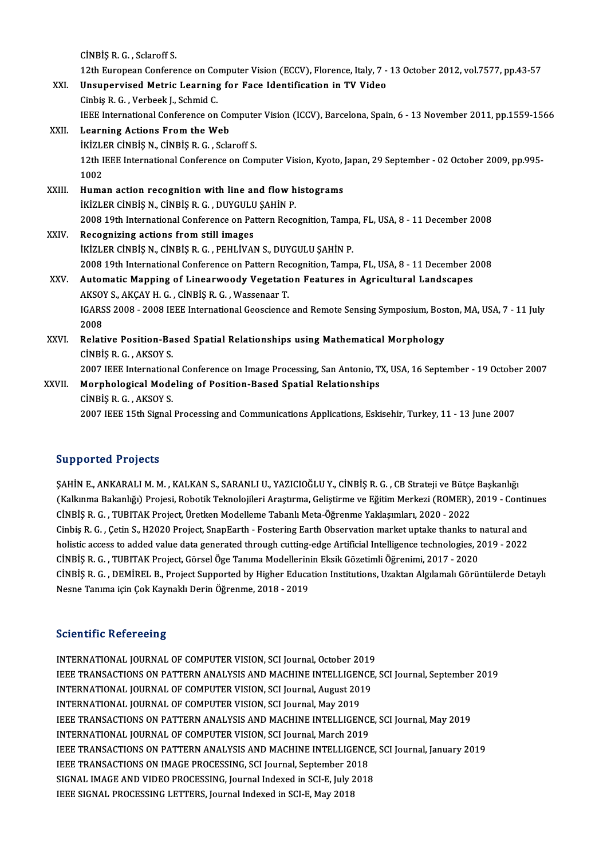CİNBİŞRG, Sclaroff S.

CİNBİŞ R. G. , Sclaroff S.<br>12th European Conference on Computer Vision (ECCV), Florence, Italy, 7 - 13 October 2012, vol.7577, pp.43-57<br>Unaunerwised Metris Learning fon Fase Identification in TV Video

CINBIȘ R. G., Sclaroff S.<br>12th European Conference on Computer Vision (ECCV), Florence, Italy, 7 -<br>XXI. Unsupervised Metric Learning for Face Identification in TV Video<br>Cinbia B. G. Verbeel: L. Sebmid G. Unsupervised Metric Learning for Face Identification in TV Video<br>Cinbiş R.G., Verbeek J., Schmid C. Unsupervised Metric Learning for Face Identification in TV Video<br>Cinbiş R. G. , Verbeek J., Schmid C.<br>IEEE International Conference on Computer Vision (ICCV), Barcelona, Spain, 6 - 13 November 2011, pp.1559-1566<br>Learning A

|        | Cinbis R. G., Verbeek J., Schmid C.                                                                                  |
|--------|----------------------------------------------------------------------------------------------------------------------|
|        | IEEE International Conference on Computer Vision (ICCV), Barcelona, Spain, 6 - 13 November 2011, pp.1559-1566        |
| XXII.  | Learning Actions From the Web                                                                                        |
|        | IKIZLER CINBIŞ N., CINBIŞ R. G., Sclaroff S.                                                                         |
|        | 12th IEEE International Conference on Computer Vision, Kyoto, Japan, 29 September - 02 October 2009, pp.995-<br>1002 |
| XXIII. | Human action recognition with line and flow histograms                                                               |
|        | İKİZLER CİNBİŞ N., CİNBİŞ R. G., DUYGULU ŞAHİN P.                                                                    |
|        | 2008 19th International Conference on Pattern Recognition, Tampa, FL, USA, 8 - 11 December 2008                      |
| XXIV.  | Recognizing actions from still images                                                                                |
|        | İKİZLER CİNBİŞ N., CİNBİŞ R. G., PEHLİVAN S., DUYGULU ŞAHİN P.                                                       |
|        | 2008 19th International Conference on Pattern Recognition, Tampa, FL, USA, 8 - 11 December 2008                      |
| XXV.   | Automatic Mapping of Linearwoody Vegetation Features in Agricultural Landscapes                                      |
|        | AKSOY S., AKÇAY H. G., CİNBİŞ R. G., Wassenaar T.                                                                    |
|        | IGARSS 2008 - 2008 IEEE International Geoscience and Remote Sensing Symposium, Boston, MA, USA, 7 - 11 July          |
|        | 2008                                                                                                                 |
| XXVI.  | Relative Position-Based Spatial Relationships using Mathematical Morphology                                          |
|        | CINBIS R. G., AKSOY S.                                                                                               |
|        | 2007 IEEE International Conference on Image Processing, San Antonio, TX, USA, 16 September - 19 October 2007         |
| XXVII. | Morphological Modeling of Position-Based Spatial Relationships                                                       |
|        | CINBIS R G , AKSOY S                                                                                                 |
|        | 2007 IEEE 15th Signal Processing and Communications Applications, Eskisehir, Turkey, 11 - 13 June 2007               |
|        |                                                                                                                      |

# 2007 IEEE 15th Signal Processing a<br>Supported Projects

Supported Projects<br>ŞAHİN E., ANKARALI M. M. , KALKAN S., SARANLI U., YAZICIOĞLU Y., CİNBİŞ R. G. , CB Strateji ve Bütçe Başkanlığı<br>(Kallanma Bakanlığı) Projeci Bobatik Taknalojileri Arastırma Golistinme ve Eğitim Markazi ( SAHİN E., ANKARALI M. M. , KALKAN S., SARANLI U., YAZICIOĞLU Y., CİNBİŞ R. G. , CB Strateji ve Bütçe Başkanlığı<br>ÇAHİN E., ANKARALI M. M. , KALKAN S., SARANLI U., YAZICIOĞLU Y., CİNBİŞ R. G. , CB Strateji ve Bütçe Başkanlığ ŞAHİN E., ANKARALI M. M. , KALKAN S., SARANLI U., YAZICIOĞLU Y., CİNBİŞ R. G. , CB Strateji ve Bütçe<br>(Kalkınma Bakanlığı) Projesi, Robotik Teknolojileri Araştırma, Geliştirme ve Eğitim Merkezi (ROMER),<br>CİNBİŞ R. G. , TUBIT (Kalkınma Bakanlığı) Projesi, Robotik Teknolojileri Araştırma, Geliştirme ve Eğitim Merkezi (ROMER), 2019 - Continues<br>CİNBİŞ R. G. , TUBITAK Project, Üretken Modelleme Tabanlı Meta-Öğrenme Yaklaşımları, 2020 - 2022<br>Cinbiş holistic access to added value data generated through cutting-edge Artificial Intelligence technologies, 2019 - 2022 CİNBİŞR.G. ,TUBITAKProject,GörselÖgeTanımaModelerininEksikGözetimliÖğrenimi,2017 -2020 holistic access to added value data generated through cutting-edge Artificial Intelligence technologies, 2019 - 2022<br>CİNBİŞ R. G. , TUBITAK Project, Görsel Öge Tanıma Modellerinin Eksik Gözetimli Öğrenimi, 2017 - 2020<br>CİNB CİNBİŞ R. G. , TUBITAK Project, Görsel Öge Tanıma Modellerin:<br>CİNBİŞ R. G. , DEMİREL B., Project Supported by Higher Educa<br>Nesne Tanıma için Çok Kaynaklı Derin Öğrenme, 2018 - 2019 Nesne Tanıma için Çok Kaynaklı Derin Öğrenme, 2018 - 2019<br>Scientific Refereeing

INTERNATIONAL JOURNAL OF COMPUTER VISION, SCI Journal, October 2019 BEFERNATIONAL JOURNAL OF COMPUTER VISION, SCI Journal, October 2019<br>INTERNATIONAL JOURNAL OF COMPUTER VISION, SCI Journal, October 2019<br>INTERNATIONAL JOURNAL OF COMPUTER VISION, SCI Journal August 2019 INTERNATIONAL JOURNAL OF COMPUTER VISION, SCI Journal, October 2019<br>IEEE TRANSACTIONS ON PATTERN ANALYSIS AND MACHINE INTELLIGENCE<br>INTERNATIONAL JOURNAL OF COMPUTER VISION, SCI Journal, August 2019<br>INTERNATIONAL JOURNAL OF IEEE TRANSACTIONS ON PATTERN ANALYSIS AND MACHINE INTELLIGEN<br>INTERNATIONAL JOURNAL OF COMPUTER VISION, SCI Journal, August 201<br>INTERNATIONAL JOURNAL OF COMPUTER VISION, SCI Journal, May 2019<br>IEEE TRANSACTIONS ON RATTERN AN INTERNATIONAL JOURNAL OF COMPUTER VISION, SCI Journal, August 2019<br>INTERNATIONAL JOURNAL OF COMPUTER VISION, SCI Journal, May 2019<br>IEEE TRANSACTIONS ON PATTERN ANALYSIS AND MACHINE INTELLIGENCE, SCI Journal, May 2019<br>INTER INTERNATIONAL JOURNAL OF COMPUTER VISION, SCI Journal, May 2019<br>IEEE TRANSACTIONS ON PATTERN ANALYSIS AND MACHINE INTELLIGENCI<br>INTERNATIONAL JOURNAL OF COMPUTER VISION, SCI Journal, March 2019<br>IEEE TRANSACTIONS ON PATTERN IEEE TRANSACTIONS ON PATTERN ANALYSIS AND MACHINE INTELLIGENCE, SCI Journal, May 2019<br>INTERNATIONAL JOURNAL OF COMPUTER VISION, SCI Journal, March 2019<br>IEEE TRANSACTIONS ON PATTERN ANALYSIS AND MACHINE INTELLIGENCE, SCI Jo INTERNATIONAL JOURNAL OF COMPUTER VISION, SCI Journal, March 2019<br>IEEE TRANSACTIONS ON PATTERN ANALYSIS AND MACHINE INTELLIGENCE, SCI Journal, January 2019<br>IEEE TRANSACTIONS ON IMAGE PROCESSING, SCI Journal, September 2018 IEEE TRANSACTIONS ON PATTERN ANALYSIS AND MACHINE INTELLIGENCE,<br>IEEE TRANSACTIONS ON IMAGE PROCESSING, SCI Journal, September 2018<br>SIGNAL IMAGE AND VIDEO PROCESSING, Journal Indexed in SCI-E, July 2018<br>IEEE SICNAL PROCESSI IEEE TRANSACTIONS ON IMAGE PROCESSING, SCI Journal, September 20<br>SIGNAL IMAGE AND VIDEO PROCESSING, Journal Indexed in SCI-E, July 2<br>IEEE SIGNAL PROCESSING LETTERS, Journal Indexed in SCI-E, May 2018